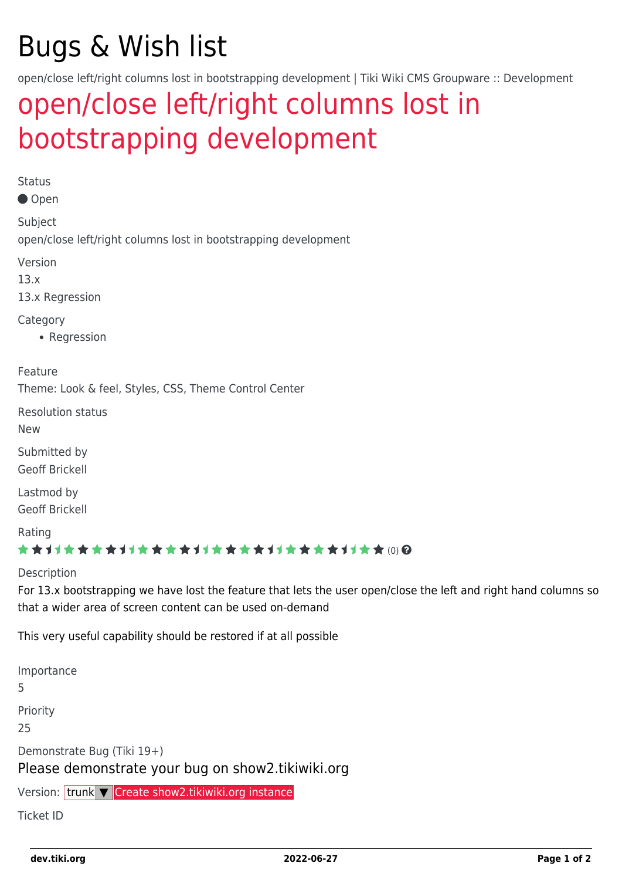# Bugs & Wish list

open/close left/right columns lost in bootstrapping development | Tiki Wiki CMS Groupware :: Development

## [open/close left/right columns lost in](https://dev.tiki.org/item5312-open-close-left-right-columns-lost-in-bootstrapping-development) [bootstrapping development](https://dev.tiki.org/item5312-open-close-left-right-columns-lost-in-bootstrapping-development)

Status

Open

Subject open/close left/right columns lost in bootstrapping development

Version

13.x

13.x Regression

**Category** 

• Regression

Feature

Theme: Look & feel, Styles, CSS, Theme Control Center

Resolution status

New

Submitted by Geoff Brickell

Lastmod by Geoff Brickell

Rating

#### ★★11★★★★11★★★★11★★★★11★★★★+11★★ (0) @

Description

For 13.x bootstrapping we have lost the feature that lets the user open/close the left and right hand columns so that a wider area of screen content can be used on-demand

This very useful capability should be restored if at all possible

Importance 5 Priority 25 Demonstrate Bug (Tiki 19+) Please demonstrate your bug on show2.tikiwiki.org

Version: trunk ▼ [Create show2.tikiwiki.org instance](#page--1-0)

Ticket ID